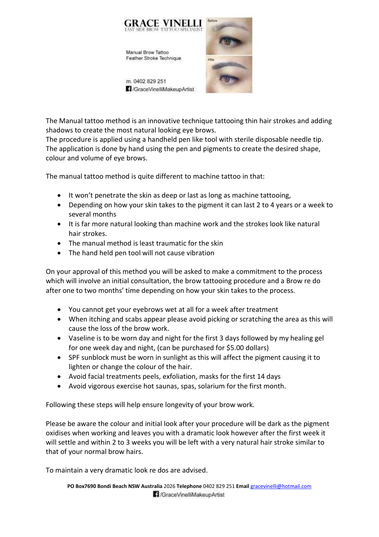

The Manual tattoo method is an innovative technique tattooing thin hair strokes and adding shadows to create the most natural looking eye brows.

The procedure is applied using a handheld pen like tool with sterile disposable needle tip. The application is done by hand using the pen and pigments to create the desired shape, colour and volume of eye brows.

The manual tattoo method is quite different to machine tattoo in that:

- It won't penetrate the skin as deep or last as long as machine tattooing,
- Depending on how your skin takes to the pigment it can last 2 to 4 years or a week to several months
- It is far more natural looking than machine work and the strokes look like natural hair strokes.
- The manual method is least traumatic for the skin
- The hand held pen tool will not cause vibration

On your approval of this method you will be asked to make a commitment to the process which will involve an initial consultation, the brow tattooing procedure and a Brow re do after one to two months' time depending on how your skin takes to the process.

- You cannot get your eyebrows wet at all for a week after treatment
- When itching and scabs appear please avoid picking or scratching the area as this will cause the loss of the brow work.
- Vaseline is to be worn day and night for the first 3 days followed by my healing gel for one week day and night, (can be purchased for \$5.00 dollars)
- SPF sunblock must be worn in sunlight as this will affect the pigment causing it to lighten or change the colour of the hair.
- Avoid facial treatments peels, exfoliation, masks for the first 14 days
- Avoid vigorous exercise hot saunas, spas, solarium for the first month.

Following these steps will help ensure longevity of your brow work.

Please be aware the colour and initial look after your procedure will be dark as the pigment oxidises when working and leaves you with a dramatic look however after the first week it will settle and within 2 to 3 weeks you will be left with a very natural hair stroke similar to that of your normal brow hairs.

To maintain a very dramatic look re dos are advised.